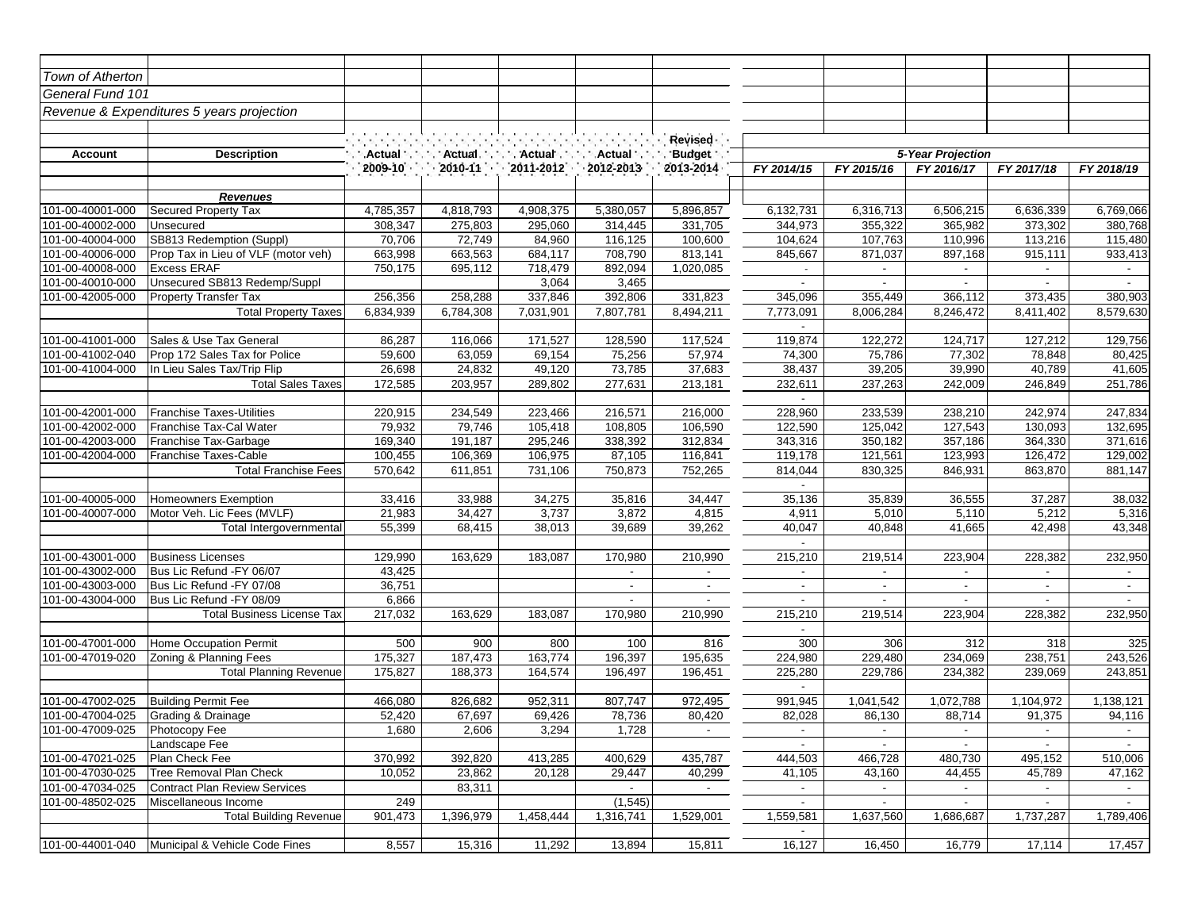| Town of Atherton                          |                                       |                   |                   |                   |                          |                          |                          |                          |                          |                          |                          |
|-------------------------------------------|---------------------------------------|-------------------|-------------------|-------------------|--------------------------|--------------------------|--------------------------|--------------------------|--------------------------|--------------------------|--------------------------|
| General Fund 101                          |                                       |                   |                   |                   |                          |                          |                          |                          |                          |                          |                          |
| Revenue & Expenditures 5 years projection |                                       |                   |                   |                   |                          |                          |                          |                          |                          |                          |                          |
|                                           |                                       |                   |                   |                   |                          |                          |                          |                          |                          |                          |                          |
|                                           |                                       |                   |                   |                   | Revised                  |                          |                          |                          |                          |                          |                          |
| <b>Account</b><br><b>Description</b>      |                                       | <b>Actual</b>     | Actual.           | <b>Actual</b>     | Actual                   | Budget :                 |                          |                          | 5-Year Projection        |                          |                          |
|                                           |                                       | 2009-10           | $2010 - 11$       | $2011 - 2012$     | $-2012 - 2013$           | 2013-2014                | FY 2014/15               | FY 2015/16               | FY 2016/17               | FY 2017/18               | FY 2018/19               |
|                                           |                                       |                   |                   |                   |                          |                          |                          |                          |                          |                          |                          |
|                                           | <b>Revenues</b>                       |                   |                   |                   |                          |                          |                          |                          |                          |                          |                          |
| 101-00-40001-000                          | Secured Property Tax                  | 4,785,357         | 4,818,793         | 4,908,375         | 5,380,057                | 5,896,857                | 6,132,731                | 6,316,713                | 6,506,215                | 6,636,339                | 6,769,066                |
| 101-00-40002-000<br>101-00-40004-000      | Unsecured<br>SB813 Redemption (Suppl) | 308,347<br>70,706 | 275,803<br>72,749 | 295,060<br>84,960 | 314,445<br>116,125       | 331,705<br>100,600       | 344,973<br>104,624       | 355,322<br>107,763       | 365,982<br>110,996       | 373,302<br>113,216       | 380,768                  |
| 101-00-40006-000                          | Prop Tax in Lieu of VLF (motor veh)   | 663,998           | 663,563           | 684,117           | 708,790                  | 813,141                  | 845,667                  | 871,037                  | 897,168                  | 915,111                  | 115,480<br>933,413       |
| 101-00-40008-000                          | <b>Excess ERAF</b>                    | 750,175           | 695,112           | 718,479           | 892,094                  | 1,020,085                |                          |                          |                          |                          |                          |
| 101-00-40010-000                          | Unsecured SB813 Redemp/Suppl          |                   |                   | 3,064             | 3,465                    |                          |                          | $\blacksquare$           |                          |                          | $\blacksquare$           |
| 101-00-42005-000                          | <b>Property Transfer Tax</b>          | 256,356           | 258,288           | 337,846           | 392,806                  | 331,823                  | 345,096                  | 355,449                  | 366,112                  | 373,435                  | 380,903                  |
|                                           | <b>Total Property Taxes</b>           | 6,834,939         | 6,784,308         | 7,031,901         | 7,807,781                | 8,494,211                | 7,773,091                | 8,006,284                | 8,246,472                | 8,411,402                | 8,579,630                |
|                                           |                                       |                   |                   |                   |                          |                          | $\blacksquare$           |                          |                          |                          |                          |
| 101-00-41001-000                          | Sales & Use Tax General               | 86,287            | 116,066           | 171,527           | 128,590                  | 117,524                  | 119,874                  | 122,272                  | 124,717                  | 127,212                  | 129,756                  |
| 101-00-41002-040                          | Prop 172 Sales Tax for Police         | 59,600            | 63,059            | 69,154            | 75,256                   | 57,974                   | 74,300                   | 75,786                   | 77,302                   | 78,848                   | 80,425                   |
| 101-00-41004-000                          | In Lieu Sales Tax/Trip Flip           | 26,698            | 24,832            | 49,120            | 73,785                   | 37,683                   | 38,437                   | 39,205                   | 39,990                   | 40,789                   | 41,605                   |
|                                           | <b>Total Sales Taxes</b>              | 172,585           | 203,957           | 289,802           | 277,631                  | 213,181                  | 232,611                  | 237,263                  | 242,009                  | 246,849                  | 251,786                  |
|                                           |                                       |                   |                   |                   |                          |                          | $\sim$                   |                          |                          |                          |                          |
| 101-00-42001-000                          | <b>Franchise Taxes-Utilities</b>      | 220,915           | 234,549           | 223,466           | 216,571                  | 216,000                  | 228,960                  | 233,539                  | 238,210                  | 242,974                  | 247,834                  |
| 101-00-42002-000                          | Franchise Tax-Cal Water               | 79,932            | 79,746            | 105,418           | 108,805                  | 106,590                  | 122,590                  | 125,042                  | 127,543                  | 130,093                  | 132,695                  |
| 101-00-42003-000                          | Franchise Tax-Garbage                 | 169,340           | 191,187           | 295,246           | 338,392                  | 312,834                  | 343,316                  | 350,182                  | 357,186                  | 364,330                  | 371,616                  |
| 101-00-42004-000                          | <b>Franchise Taxes-Cable</b>          | 100,455           | 106,369           | 106,975           | 87,105                   | 116,841                  | 119,178                  | 121,561                  | 123,993                  | 126,472                  | 129,002                  |
|                                           | <b>Total Franchise Fees</b>           | 570,642           | 611,851           | 731,106           | 750,873                  | 752,265                  | 814,044                  | 830,325                  | 846,931                  | 863,870                  | 881,147                  |
| 101-00-40005-000                          | Homeowners Exemption                  | 33,416            | 33,988            | 34,275            | 35,816                   | 34,447                   | 35,136                   | 35,839                   | 36,555                   | 37,287                   | 38,032                   |
| 101-00-40007-000                          | Motor Veh. Lic Fees (MVLF)            | 21,983            | 34,427            | 3,737             | 3,872                    | 4,815                    | 4,911                    | 5,010                    | 5,110                    | 5,212                    | 5,316                    |
|                                           | Total Intergovernmental               | 55,399            | 68,415            | 38,013            | 39,689                   | 39,262                   | 40,047                   | 40,848                   | 41,665                   | 42,498                   | 43,348                   |
|                                           |                                       |                   |                   |                   |                          |                          | $\overline{\phantom{a}}$ |                          |                          |                          |                          |
| 101-00-43001-000                          | <b>Business Licenses</b>              | 129,990           | 163,629           | 183,087           | 170,980                  | 210,990                  | 215,210                  | 219,514                  | 223,904                  | 228,382                  | 232,950                  |
| 101-00-43002-000                          | Bus Lic Refund -FY 06/07              | 43,425            |                   |                   | $\blacksquare$           | $\overline{\phantom{a}}$ | $\overline{\phantom{a}}$ |                          |                          |                          |                          |
| 101-00-43003-000                          | Bus Lic Refund -FY 07/08              | 36,751            |                   |                   | $\overline{\phantom{a}}$ | $\overline{\phantom{a}}$ | $\overline{\phantom{a}}$ | $\overline{\phantom{a}}$ | $\overline{\phantom{a}}$ |                          | $\overline{\phantom{a}}$ |
| 101-00-43004-000                          | Bus Lic Refund - FY 08/09             | 6,866             |                   |                   | $\sim$                   | $\blacksquare$           | $\blacksquare$           | $\sim$                   | $\sim$                   | $\sim$                   | $\sim$                   |
|                                           | Total Business License Tax            | 217,032           | 163,629           | 183,087           | 170,980                  | 210,990                  | 215,210                  | 219,514                  | 223,904                  | 228,382                  | 232,950                  |
|                                           |                                       |                   |                   |                   |                          |                          |                          |                          |                          |                          |                          |
| 101-00-47001-000                          | Home Occupation Permit                | 500               | 900               | 800               | 100                      | 816                      | 300                      | 306                      | 312                      | 318                      | 325                      |
| 101-00-47019-020                          | Zoning & Planning Fees                | 175,327           | 187,473           | 163,774           | 196,397                  | 195,635                  | 224,980                  | 229,480                  | 234,069                  | 238,751                  | 243,526                  |
|                                           | <b>Total Planning Revenue</b>         | 175,827           | 188,373           | 164,574           | 196,497                  | 196,451                  | 225,280                  | 229,786                  | 234,382                  | 239,069                  | 243,851                  |
|                                           |                                       |                   |                   |                   |                          |                          | $\overline{a}$           |                          |                          |                          |                          |
| 101-00-47002-025                          | <b>Building Permit Fee</b>            | 466,080           | 826,682           | 952,311           | 807,747                  | 972,495                  | 991,945                  | 1,041,542                | 1,072,788                | 1,104,972                | 1,138,121                |
| 101-00-47004-025                          | Grading & Drainage                    | 52,420            | 67,697            | 69,426            | 78,736                   | 80,420                   | 82,028                   | 86,130                   | 88,714                   | 91,375                   | 94,116                   |
| 101-00-47009-025                          | Photocopy Fee                         | 1,680             | 2,606             | 3,294             | 1,728                    |                          | $\sim$                   | $\sim$                   | $\overline{\phantom{a}}$ | $\overline{\phantom{a}}$ | $\sim$                   |
| 101-00-47021-025                          | Landscape Fee<br>Plan Check Fee       | 370,992           | 392,820           | 413,285           | 400,629                  | 435,787                  | $\sim$<br>444,503        | $\sim$<br>466,728        | $\sim$<br>480,730        | $\sim$<br>495,152        | $\sim$<br>510,006        |
| 101-00-47030-025                          | Tree Removal Plan Check               | 10,052            | 23,862            | 20,128            | 29,447                   | 40,299                   | 41,105                   | 43,160                   | 44,455                   | 45,789                   | 47,162                   |
| 101-00-47034-025                          | <b>Contract Plan Review Services</b>  |                   | 83,311            |                   | $\sim$                   | $\sim$                   | $\blacksquare$           | $\sim$                   | $\sim$                   | $\sim$                   | $\sim$                   |
| 101-00-48502-025                          | Miscellaneous Income                  | 249               |                   |                   | (1, 545)                 |                          | $\sim$                   | $\sim$                   | $\sim$                   |                          | $\sim$                   |
|                                           | <b>Total Building Revenue</b>         | 901,473           | 1,396,979         | 1,458,444         | 1,316,741                | 1,529,001                | 1,559,581                | 1,637,560                | 1,686,687                | 1,737,287                | 1,789,406                |
|                                           |                                       |                   |                   |                   |                          |                          |                          |                          |                          |                          |                          |
| 101-00-44001-040                          | Municipal & Vehicle Code Fines        | 8,557             | 15,316            | 11,292            | 13,894                   | 15,811                   | 16,127                   | 16,450                   | 16,779                   | 17,114                   | 17,457                   |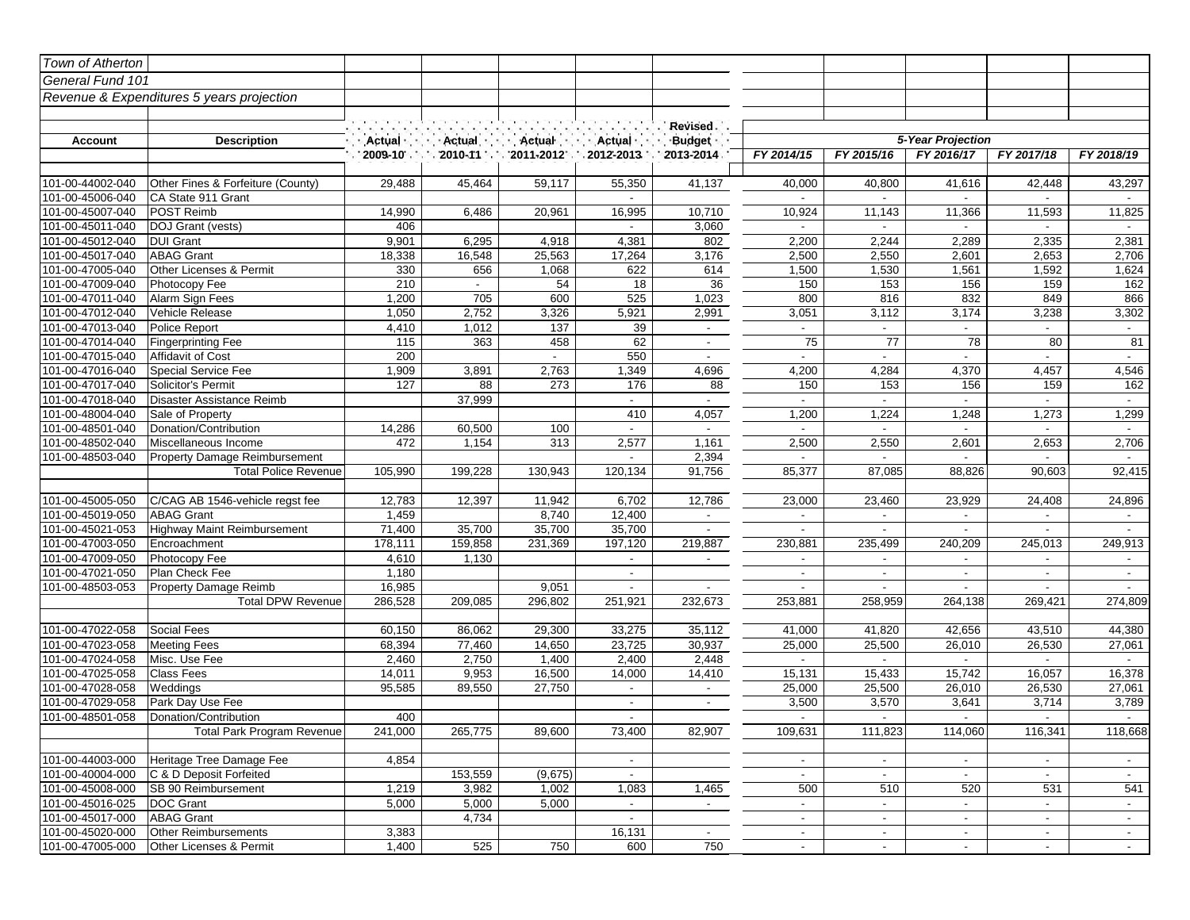| Town of Atherton                          |                                    |               |                           |                 |                          |                           |                          |                          |                          |            |                          |
|-------------------------------------------|------------------------------------|---------------|---------------------------|-----------------|--------------------------|---------------------------|--------------------------|--------------------------|--------------------------|------------|--------------------------|
| General Fund 101                          |                                    |               |                           |                 |                          |                           |                          |                          |                          |            |                          |
| Revenue & Expenditures 5 years projection |                                    |               |                           |                 |                          |                           |                          |                          |                          |            |                          |
|                                           |                                    |               |                           |                 |                          |                           |                          |                          |                          |            |                          |
|                                           |                                    |               |                           |                 |                          | Revised .                 |                          |                          |                          |            |                          |
| <b>Account</b>                            | <b>Description</b>                 | Actual        | · Actual                  | · Actual        | · Actual ·               | <b>Budget</b>             |                          |                          | 5-Year Projection        |            |                          |
|                                           |                                    | $2009 - 10$ . | $2010 - 11$               | $2011 - 2012$ . | 2012-2013                | 2013-2014.                | FY 2014/15               | FY 2015/16               | FY 2016/17               | FY 2017/18 | FY 2018/19               |
|                                           |                                    |               |                           |                 |                          |                           |                          |                          |                          |            |                          |
| 101-00-44002-040                          | Other Fines & Forfeiture (County)  | 29,488        | 45,464                    | 59,117          | 55,350                   | 41,137                    | 40,000                   | 40,800                   | 41,616                   | 42,448     | 43,297                   |
| 101-00-45006-040                          | CA State 911 Grant                 |               |                           |                 |                          |                           | $\sim$                   | $\sim$                   |                          |            |                          |
| 101-00-45007-040                          | POST Reimb                         | 14,990        | 6,486                     | 20,961          | 16,995                   | 10,710                    | 10,924                   | 11,143                   | 11,366                   | 11,593     | 11,825                   |
| 101-00-45011-040                          | DOJ Grant (vests)                  | 406           |                           |                 |                          | 3,060                     |                          |                          |                          |            |                          |
| 101-00-45012-040                          | <b>DUI Grant</b>                   | 9,901         | 6,295                     | 4,918           | 4,381                    | 802                       | 2,200                    | 2,244                    | 2,289                    | 2,335      | 2,381                    |
| 101-00-45017-040                          | <b>ABAG Grant</b>                  | 18,338        | 16,548                    | 25,563          | 17,264                   | 3,176                     | 2,500                    | 2,550                    | 2,601                    | 2,653      | 2,706                    |
| 101-00-47005-040                          | Other Licenses & Permit            | 330           | 656                       | 1,068           | 622                      | 614                       | 1,500                    | 1,530                    | 1,561                    | 1,592      | 1,624                    |
| 101-00-47009-040                          | Photocopy Fee                      | 210           | $\mathbb{Z}^{\mathbb{Z}}$ | 54              | 18                       | 36                        | 150                      | 153                      | 156                      | 159        | 162                      |
| 101-00-47011-040                          | Alarm Sign Fees                    | 1,200         | 705                       | 600             | 525                      | 1,023                     | 800                      | 816                      | 832                      | 849        | 866                      |
| 101-00-47012-040                          | Vehicle Release                    | 1,050         | 2,752                     | 3,326           | 5,921                    | 2,991                     | 3,051                    | 3,112                    | 3,174                    | 3,238      | 3,302                    |
| 101-00-47013-040                          | Police Report                      | 4,410         | 1,012                     | 137             | 39                       | $\sim$                    | $\blacksquare$           | $\overline{\phantom{a}}$ |                          |            | $\blacksquare$           |
| 101-00-47014-040                          | <b>Fingerprinting Fee</b>          | 115           | 363                       | 458             | 62                       | $\sim$                    | 75                       | $\overline{77}$          | 78                       | 80         | 81                       |
| 101-00-47015-040                          | Affidavit of Cost                  | 200           |                           | $\sim$          | 550                      | $\blacksquare$            | $\blacksquare$           | $\sim$                   | $\sim$                   | $\sim$     | $\sim$                   |
| 101-00-47016-040                          | Special Service Fee                | 1,909         | 3,891                     | 2,763           | 1,349                    | 4,696                     | 4,200                    | 4,284                    | 4,370                    | 4,457      | 4,546                    |
| 101-00-47017-040                          | <b>Solicitor's Permit</b>          | 127           | 88                        | 273             | 176                      | 88                        | 150                      | 153                      | 156                      | 159        | 162                      |
| 101-00-47018-040                          | Disaster Assistance Reimb          |               | 37,999                    |                 | $\overline{\phantom{a}}$ | $\blacksquare$            | $\overline{\phantom{a}}$ | $\overline{\phantom{a}}$ | $\blacksquare$           |            | $\overline{\phantom{a}}$ |
| 101-00-48004-040                          | Sale of Property                   |               |                           |                 | 410                      | 4,057                     | 1,200                    | 1,224                    | 1,248                    | 1,273      | 1,299                    |
| 101-00-48501-040                          | Donation/Contribution              | 14,286        | 60,500                    | 100             | $\sim$                   | $\mathbb{Z}^{\mathbb{Z}}$ | $\sim$                   | $\sim$                   | $\sim$                   | $\sim$     | $\sim$                   |
| 101-00-48502-040                          | Miscellaneous Income               | 472           | 1,154                     | 313             | 2,577                    | 1,161                     | 2,500                    | 2,550                    | 2,601                    | 2,653      | 2,706                    |
| 101-00-48503-040                          | Property Damage Reimbursement      |               |                           |                 |                          | 2,394                     |                          |                          |                          |            |                          |
|                                           | <b>Total Police Revenue</b>        | 105,990       | 199,228                   | 130,943         | 120,134                  | 91,756                    | 85,377                   | 87,085                   | 88,826                   | 90,603     | 92,415                   |
| 101-00-45005-050                          | C/CAG AB 1546-vehicle regst fee    | 12,783        | 12,397                    | 11,942          | 6,702                    | 12,786                    | 23,000                   | 23,460                   | 23,929                   | 24,408     | 24,896                   |
| 101-00-45019-050                          | <b>ABAG Grant</b>                  | 1,459         |                           | 8,740           | 12,400                   | $\overline{\phantom{a}}$  | $\blacksquare$           | $\overline{\phantom{a}}$ |                          |            |                          |
| 101-00-45021-053                          | <b>Highway Maint Reimbursement</b> | 71,400        | 35,700                    | 35,700          | 35,700                   |                           |                          |                          |                          |            |                          |
| 101-00-47003-050                          | Encroachment                       | 178,111       | 159,858                   | 231,369         | 197,120                  | 219,887                   | 230,881                  | 235,499                  | 240,209                  | 245,013    | 249,913                  |
| 101-00-47009-050                          | Photocopy Fee                      | 4,610         | 1,130                     |                 | $\overline{\phantom{a}}$ | $\overline{\phantom{a}}$  | $\overline{\phantom{a}}$ | $\overline{\phantom{a}}$ | $\overline{\phantom{a}}$ |            | $\overline{\phantom{a}}$ |
| 101-00-47021-050                          | Plan Check Fee                     | 1,180         |                           |                 | $\sim$                   |                           | $\mathbf{r}$             | $\sim$                   | $\sim$                   | $\sim$     | $\sim$                   |
| 101-00-48503-053                          | Property Damage Reimb              | 16,985        |                           | 9,051           | $\blacksquare$           |                           | $\blacksquare$           |                          |                          |            |                          |
|                                           | <b>Total DPW Revenue</b>           | 286,528       | 209,085                   | 296,802         | 251,921                  | 232,673                   | 253,881                  | 258,959                  | 264,138                  | 269,421    | 274,809                  |
|                                           |                                    |               |                           |                 |                          |                           |                          |                          |                          |            |                          |
| 101-00-47022-058                          | Social Fees                        | 60,150        | 86,062                    | 29,300          | 33,275                   | 35,112                    | 41,000                   | 41,820                   | 42,656                   | 43,510     | 44,380                   |
| 101-00-47023-058                          | <b>Meeting Fees</b>                | 68,394        | 77,460                    | 14,650          | 23,725                   | 30,937                    | 25,000                   | 25,500                   | 26,010                   | 26,530     | 27,061                   |
| 101-00-47024-058                          | Misc. Use Fee                      | 2,460         | 2,750                     | 1,400           | 2,400                    | 2,448                     | $\blacksquare$           |                          |                          |            |                          |
| 101-00-47025-058                          | <b>Class Fees</b>                  | 14,011        | 9,953                     | 16,500          | 14,000                   | 14,410                    | 15,131                   | 15,433                   | 15,742                   | 16,057     | 16,378                   |
| 101-00-47028-058                          | Weddings                           | 95,585        | 89,550                    | 27,750          | $\overline{\phantom{a}}$ | $\sim$                    | 25,000                   | 25,500                   | 26,010                   | 26,530     | 27,061                   |
| 101-00-47029-058                          | Park Day Use Fee                   |               |                           |                 | $\overline{\phantom{a}}$ |                           | 3,500                    | 3,570                    | 3,641                    | 3,714      | 3,789                    |
| 101-00-48501-058                          | Donation/Contribution              | 400           |                           |                 | $\sim$                   |                           | $\sim$                   | $\sim$                   | $\sim$                   | $\sim$     | $\sim$                   |
|                                           | Total Park Program Revenue         | 241,000       | 265,775                   | 89,600          | 73,400                   | 82,907                    | 109,631                  | 111,823                  | 114,060                  | 116,341    | 118,668                  |
|                                           |                                    |               |                           |                 |                          |                           |                          |                          |                          |            |                          |
| 101-00-44003-000                          | Heritage Tree Damage Fee           | 4,854         |                           |                 | $\sim$                   |                           | $\overline{\phantom{a}}$ | $\sim$                   | $\overline{\phantom{a}}$ | $\sim$     | $\sim$                   |
| 101-00-40004-000                          | C & D Deposit Forfeited            |               | 153,559                   | (9,675)         | $\sim$                   |                           | $\sim$                   | $\sim$                   | $\sim$                   | $\sim$     | $\sim$                   |
| 101-00-45008-000                          | SB 90 Reimbursement                | 1,219         | 3,982                     | 1,002           | 1,083                    | 1,465                     | 500                      | 510                      | 520                      | 531        | 541                      |
| 101-00-45016-025                          | DOC Grant                          | 5,000         | 5,000                     | 5,000           | $\sim$                   | $\sim$                    | $\sim$                   | $\sim$                   | $\sim$                   | $\sim$     | $\sim$                   |
| 101-00-45017-000                          | <b>ABAG Grant</b>                  |               | 4,734                     |                 | $\sim$                   |                           | $\sim$                   | $\sim$                   | $\overline{\phantom{a}}$ | $\sim$     | $\sim$                   |
| 101-00-45020-000                          | <b>Other Reimbursements</b>        | 3,383         |                           |                 | 16,131                   | $\sim$                    | $\sim$                   | $\sim$                   | $\sim$                   | $\sim$     | $\sim$                   |
| 101-00-47005-000                          | Other Licenses & Permit            | 1,400         | 525                       | 750             | 600                      | 750                       | $\overline{\phantom{a}}$ | $\sim$                   | $\sim$                   | $\sim$     | $\sim$                   |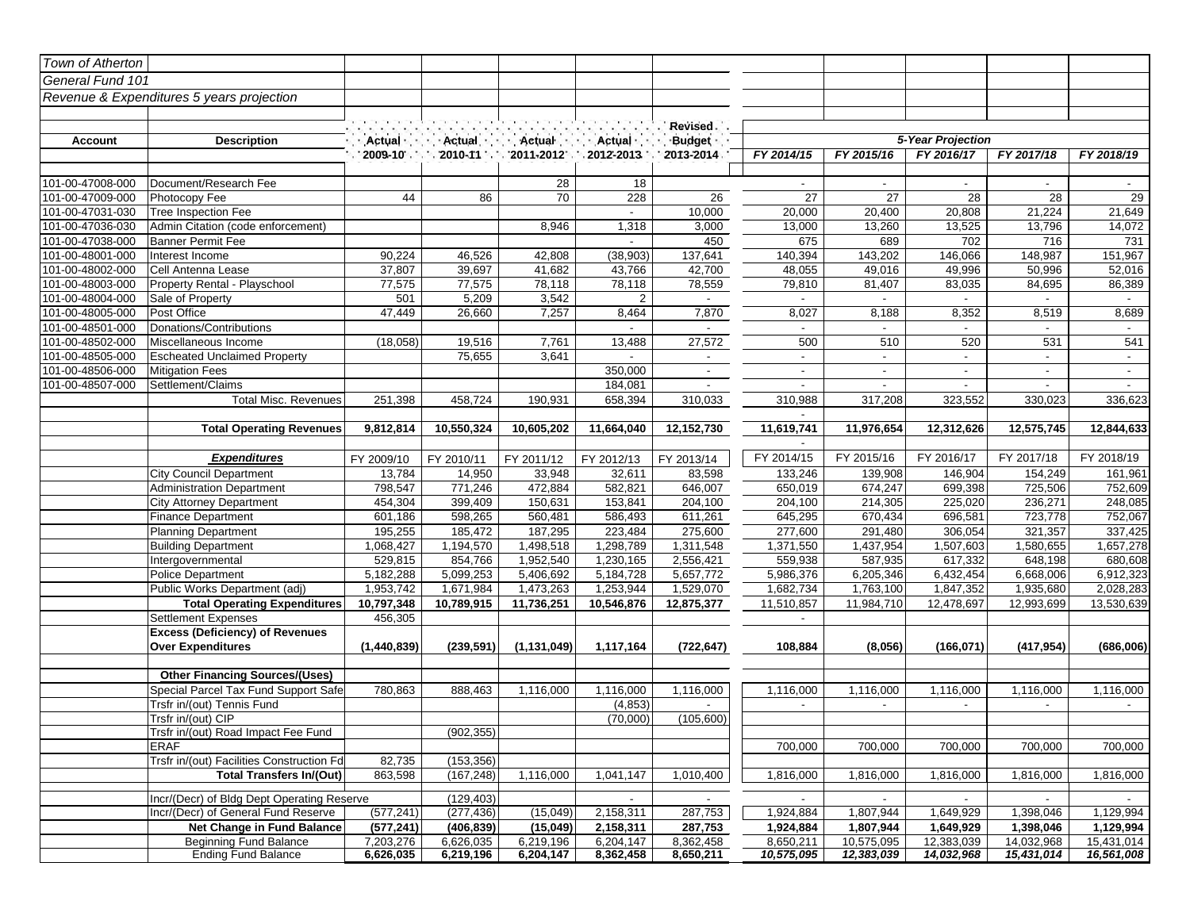| Town of Atherton |                                            |             |                      |                      |                      |                 |                          |            |                   |            |                |
|------------------|--------------------------------------------|-------------|----------------------|----------------------|----------------------|-----------------|--------------------------|------------|-------------------|------------|----------------|
| General Fund 101 |                                            |             |                      |                      |                      |                 |                          |            |                   |            |                |
|                  | Revenue & Expenditures 5 years projection  |             |                      |                      |                      |                 |                          |            |                   |            |                |
|                  |                                            |             |                      |                      |                      |                 |                          |            |                   |            |                |
|                  |                                            |             |                      |                      |                      | Revised .       |                          |            |                   |            |                |
| Account          | <b>Description</b>                         | Actual      | · Actual             | Actual               | Actual               | Budget :        |                          |            | 5-Year Projection |            |                |
|                  |                                            | 2009-10     | $2010 - 11$          | $2011 - 2012$ .      | $-2012 - 2013$       | 2013-2014.      | FY 2014/15               | FY 2015/16 | FY 2016/17        | FY 2017/18 | FY 2018/19     |
|                  |                                            |             |                      |                      |                      |                 |                          |            |                   |            |                |
| 101-00-47008-000 | Document/Research Fee                      |             |                      | 28                   | 18                   |                 | $\blacksquare$           |            | $\mathbf{r}$      | $\sim$     |                |
| 101-00-47009-000 | Photocopy Fee                              | 44          | 86                   | 70                   | 228                  | $\overline{26}$ | 27                       | 27         | 28                | 28         | 29             |
| 101-00-47031-030 | Tree Inspection Fee                        |             |                      |                      | $\sim$               | 10,000          | 20,000                   | 20,400     | 20,808            | 21,224     | 21,649         |
| 101-00-47036-030 | Admin Citation (code enforcement)          |             |                      | 8,946                | 1,318                | 3,000           | 13,000                   | 13,260     | 13,525            | 13,796     | 14,072         |
| 101-00-47038-000 | Banner Permit Fee                          |             |                      |                      |                      | 450             | 675                      | 689        | 702               | 716        | 731            |
| 101-00-48001-000 | Interest Income                            | 90,224      | 46,526               | 42,808               | (38, 903)            | 137,641         | 140,394                  | 143,202    | 146,066           | 148,987    | 151,967        |
| 101-00-48002-000 | Cell Antenna Lease                         | 37,807      | 39,697               | 41,682               | 43,766               | 42,700          | 48,055                   | 49,016     | 49,996            | 50,996     | 52,016         |
| 101-00-48003-000 | Property Rental - Playschool               | 77,575      | 77,575               | 78,118               | 78,118               | 78,559          | 79,810                   | 81,407     | 83,035            | 84,695     | 86,389         |
| 101-00-48004-000 | Sale of Property                           | 501         | 5,209                | 3,542                | $\overline{2}$       | $\sim$          | $\sim$                   | $\sim$     | $\sim$            |            | $\sim$         |
| 101-00-48005-000 | Post Office                                | 47,449      | 26,660               | 7,257                | 8,464                | 7,870           | 8,027                    | 8,188      | 8,352             | 8,519      | 8,689          |
| 101-00-48501-000 | Donations/Contributions                    |             |                      |                      |                      | $\mathbf{r}$    | $\sim$                   |            | $\mathbf{r}$      |            |                |
| 101-00-48502-000 | Miscellaneous Income                       | (18,058)    | 19,516               | 7,761                | 13,488               | 27,572          | 500                      | 510        | 520               | 531        | 541            |
| 101-00-48505-000 | <b>Escheated Unclaimed Property</b>        |             | 75,655               | 3,641                |                      | $\sim$          | $\sim$                   | $\sim$     | $\sim$            | $\sim$     | $\blacksquare$ |
| 101-00-48506-000 | <b>Mitigation Fees</b>                     |             |                      |                      | 350,000              | $\blacksquare$  | $\overline{\phantom{a}}$ | $\sim$     | $\sim$            | $\sim$     | $\sim$         |
| 101-00-48507-000 | Settlement/Claims                          |             |                      |                      | 184,081              |                 | $\overline{\phantom{a}}$ |            |                   |            |                |
|                  | <b>Total Misc. Revenues</b>                | 251,398     | 458,724              | 190,931              | 658,394              | 310,033         | 310,988                  | 317,208    | 323,552           | 330,023    | 336,623        |
|                  |                                            | 9,812,814   |                      |                      | 11,664,040           |                 |                          |            |                   |            | 12,844,633     |
|                  | <b>Total Operating Revenues</b>            |             | 10,550,324           | 10,605,202           |                      | 12,152,730      | 11,619,741               | 11,976,654 | 12,312,626        | 12,575,745 |                |
|                  | <b>Expenditures</b>                        | FY 2009/10  |                      |                      |                      | FY 2013/14      | FY 2014/15               | FY 2015/16 | FY 2016/17        | FY 2017/18 | FY 2018/19     |
|                  | <b>City Council Department</b>             | 13,784      | FY 2010/11<br>14,950 | FY 2011/12<br>33,948 | FY 2012/13<br>32,611 | 83,598          | 133,246                  | 139,908    | 146,904           | 154,249    | 161,961        |
|                  | Administration Department                  | 798,547     | 771,246              | 472,884              | 582,821              | 646,007         | 650,019                  | 674,247    | 699,398           | 725,506    | 752,609        |
|                  | <b>City Attorney Department</b>            | 454,304     | 399,409              | 150,631              | 153,841              | 204,100         | 204,100                  | 214,305    | 225,020           | 236,271    | 248,085        |
|                  | <b>Finance Department</b>                  | 601,186     | 598,265              | 560,481              | 586,493              | 611,261         | 645,295                  | 670,434    | 696,581           | 723,778    | 752,067        |
|                  | <b>Planning Department</b>                 | 195,255     | 185,472              | 187,295              | 223,484              | 275,600         | 277,600                  | 291,480    | 306,054           | 321,357    | 337,425        |
|                  | <b>Building Department</b>                 | 1,068,427   | 1,194,570            | 1,498,518            | 1,298,789            | 1,311,548       | 1,371,550                | 1,437,954  | 1,507,603         | 1,580,655  | 1,657,278      |
|                  | Intergovernmental                          | 529,815     | 854,766              | 1,952,540            | 1,230,165            | 2,556,421       | 559,938                  | 587,935    | 617,332           | 648,198    | 680,608        |
|                  | <b>Police Department</b>                   | 5,182,288   | 5,099,253            | 5,406,692            | 5,184,728            | 5,657,772       | 5,986,376                | 6,205,346  | 6,432,454         | 6,668,006  | 6,912,323      |
|                  | Public Works Department (adj)              | 1,953,742   | 1,671,984            | 1,473,263            | 1,253,944            | 1,529,070       | 1,682,734                | 1,763,100  | 1,847,352         | 1,935,680  | 2,028,283      |
|                  | <b>Total Operating Expenditures</b>        | 10,797,348  | 10,789,915           | 11,736,251           | 10,546,876           | 12,875,377      | 11,510,857               | 11,984,710 | 12,478,697        | 12,993,699 | 13,530,639     |
|                  | Settlement Expenses                        | 456,305     |                      |                      |                      |                 | $\sim$                   |            |                   |            |                |
|                  | <b>Excess (Deficiency) of Revenues</b>     |             |                      |                      |                      |                 |                          |            |                   |            |                |
|                  | <b>Over Expenditures</b>                   | (1,440,839) | (239, 591)           | (1, 131, 049)        | 1,117,164            | (722, 647)      | 108,884                  | (8,056)    | (166, 071)        | (417, 954) | (686,006)      |
|                  |                                            |             |                      |                      |                      |                 |                          |            |                   |            |                |
|                  | <b>Other Financing Sources/(Uses)</b>      |             |                      |                      |                      |                 |                          |            |                   |            |                |
|                  | Special Parcel Tax Fund Support Safe       | 780,863     | 888,463              | 1,116,000            | 1,116,000            | 1,116,000       | 1,116,000                | 1,116,000  | 1,116,000         | 1,116,000  | 1,116,000      |
|                  | Trsfr in/(out) Tennis Fund                 |             |                      |                      | (4, 853)             |                 | $\blacksquare$           |            |                   |            |                |
|                  | Trsfr in/(out) CIP                         |             |                      |                      | (70,000)             | (105,600)       |                          |            |                   |            |                |
|                  | Trsfr in/(out) Road Impact Fee Fund        |             | (902,355)            |                      |                      |                 |                          |            |                   |            |                |
|                  | <b>ERAF</b>                                |             |                      |                      |                      |                 | 700,000                  | 700,000    | 700,000           | 700,000    | 700,000        |
|                  | Trsfr in/(out) Facilities Construction Fd  | 82,735      | (153, 356)           |                      |                      |                 |                          |            |                   |            |                |
|                  | <b>Total Transfers In/(Out)</b>            | 863,598     | (167, 248)           | 1,116,000            | 1,041,147            | 1,010,400       | 1,816,000                | 1,816,000  | 1,816,000         | 1,816,000  | 1,816,000      |
|                  | Incr/(Decr) of Bldg Dept Operating Reserve |             | (129, 403)           |                      | $\sim$               |                 |                          |            |                   |            |                |
|                  | Incr/(Decr) of General Fund Reserve        | (577, 241)  | (277, 436)           | (15,049)             | 2,158,311            | 287,753         | 1,924,884                | 1,807,944  | 1,649,929         | 1,398,046  | 1,129,994      |
|                  | Net Change in Fund Balance                 | (577, 241)  | (406, 839)           | (15,049)             | 2,158,311            | 287,753         | 1,924,884                | 1,807,944  | 1,649,929         | 1,398,046  | 1,129,994      |
|                  | <b>Beginning Fund Balance</b>              | 7,203,276   | 6,626,035            | 6,219,196            | 6,204,147            | 8,362,458       | 8,650,211                | 10,575,095 | 12,383,039        | 14,032,968 | 15,431,014     |
|                  | <b>Ending Fund Balance</b>                 | 6,626,035   | 6,219,196            | 6,204,147            | 8,362,458            | 8,650,211       | 10,575,095               | 12,383,039 | 14,032,968        | 15,431,014 | 16,561,008     |